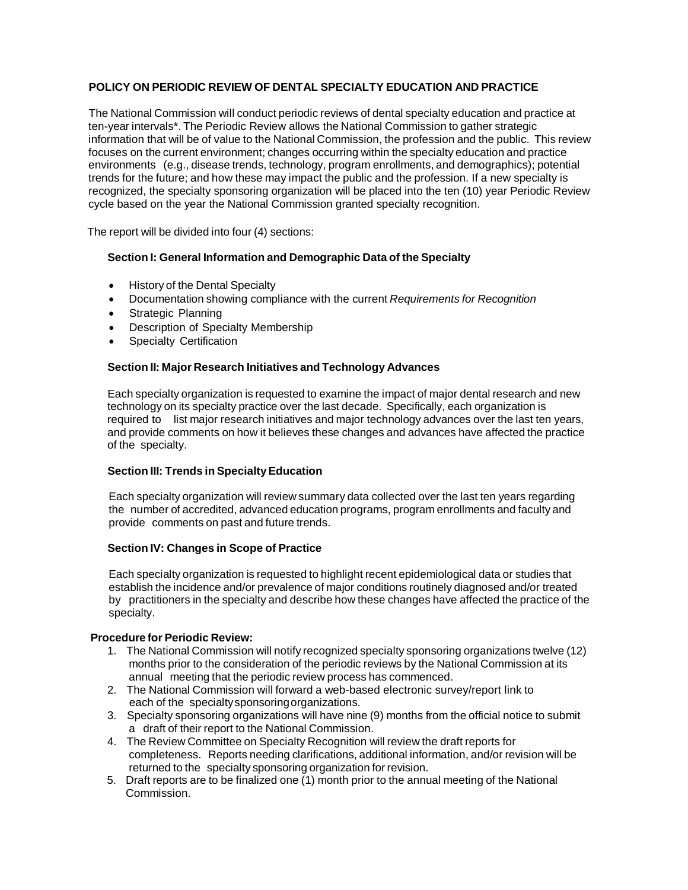# **POLICY ON PERIODIC REVIEW OF DENTAL SPECIALTY EDUCATION AND PRACTICE**

The National Commission will conduct periodic reviews of dental specialty education and practice at ten-year intervals\*. The Periodic Review allows the National Commission to gather strategic information that will be of value to the National Commission, the profession and the public. This review focuses on the current environment; changes occurring within the specialty education and practice environments (e.g., disease trends, technology, program enrollments, and demographics); potential trends for the future; and how these may impact the public and the profession. If a new specialty is recognized, the specialty sponsoring organization will be placed into the ten (10) year Periodic Review cycle based on the year the National Commission granted specialty recognition.

The report will be divided into four (4) sections:

## **Section I: General Information and Demographic Data of the Specialty**

- History of the Dental Specialty
- Documentation showing compliance with the current *Requirements for Recognition*
- Strategic Planning
- Description of Specialty Membership
- Specialty Certification

### **Section II: Major Research Initiatives and Technology Advances**

Each specialty organization is requested to examine the impact of major dental research and new technology on its specialty practice over the last decade. Specifically, each organization is required to list major research initiatives and major technology advances over the last ten years, and provide comments on how it believes these changes and advances have affected the practice of the specialty.

### **Section III: Trends in SpecialtyEducation**

Each specialty organization will review summary data collected over the last ten years regarding the number of accredited, advanced education programs, program enrollments and faculty and provide comments on past and future trends.

### **Section IV: Changes in Scope of Practice**

Each specialty organization is requested to highlight recent epidemiological data or studies that establish the incidence and/or prevalence of major conditions routinely diagnosed and/or treated by practitioners in the specialty and describe how these changes have affected the practice of the specialty.

### **Procedure for Periodic Review:**

- 1. The National Commission will notify recognized specialty sponsoring organizations twelve (12) months prior to the consideration of the periodic reviews by the National Commission at its annual meeting that the periodic review process has commenced.
- 2. The National Commission will forward a web-based electronic survey/report link to each of the specialtysponsoringorganizations.
- 3. Specialty sponsoring organizations will have nine (9) months from the official notice to submit a draft of their report to the National Commission.
- 4. The Review Committee on Specialty Recognition will review the draft reports for completeness. Reports needing clarifications, additional information, and/or revision will be returned to the specialty sponsoring organization for revision.
- 5. Draft reports are to be finalized one (1) month prior to the annual meeting of the National Commission.